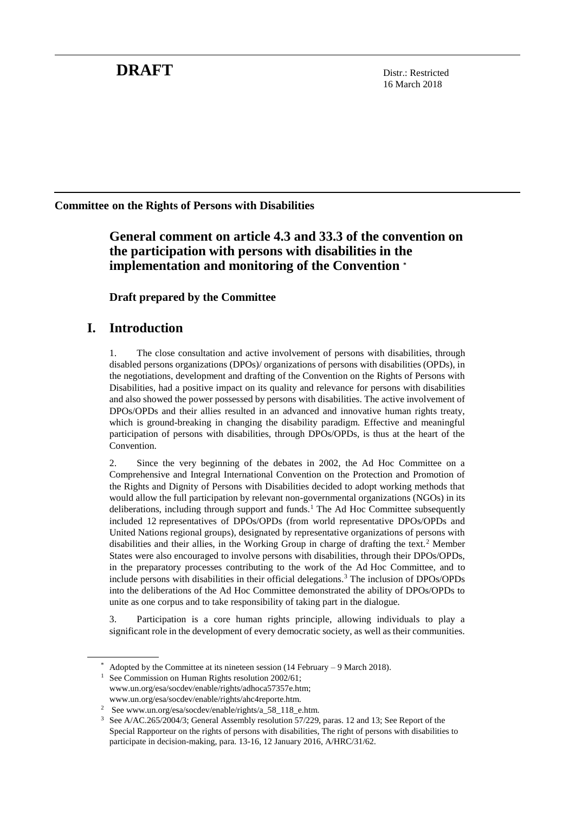# **DRAFT** Distr.: Restricted

16 March 2018

## **Committee on the Rights of Persons with Disabilities**

**General comment on article 4.3 and 33.3 of the convention on the participation with persons with disabilities in the implementation and monitoring of the Convention \***

**Draft prepared by the Committee**

# **I. Introduction**

1. The close consultation and active involvement of persons with disabilities, through disabled persons organizations (DPOs)/ organizations of persons with disabilities (OPDs), in the negotiations, development and drafting of the Convention on the Rights of Persons with Disabilities, had a positive impact on its quality and relevance for persons with disabilities and also showed the power possessed by persons with disabilities. The active involvement of DPOs/OPDs and their allies resulted in an advanced and innovative human rights treaty, which is ground-breaking in changing the disability paradigm. Effective and meaningful participation of persons with disabilities, through DPOs/OPDs, is thus at the heart of the Convention.

2. Since the very beginning of the debates in 2002, the Ad Hoc Committee on a Comprehensive and Integral International Convention on the Protection and Promotion of the Rights and Dignity of Persons with Disabilities decided to adopt working methods that would allow the full participation by relevant non-governmental organizations (NGOs) in its deliberations, including through support and funds.<sup>1</sup> The Ad Hoc Committee subsequently included 12 representatives of DPOs/OPDs (from world representative DPOs/OPDs and United Nations regional groups), designated by representative organizations of persons with disabilities and their allies, in the Working Group in charge of drafting the text.<sup>2</sup> Member States were also encouraged to involve persons with disabilities, through their DPOs/OPDs, in the preparatory processes contributing to the work of the Ad Hoc Committee, and to include persons with disabilities in their official delegations.<sup>3</sup> The inclusion of DPOs/OPDs into the deliberations of the Ad Hoc Committee demonstrated the ability of DPOs/OPDs to unite as one corpus and to take responsibility of taking part in the dialogue.

3. Participation is a core human rights principle, allowing individuals to play a significant role in the development of every democratic society, as well as their communities.

Adopted by the Committee at its nineteen session (14 February – 9 March 2018).

See Commission on Human Rights resolution 2002/61; [www.un.org/esa/socdev/enable/rights/adhoca57357e.htm;](http://www.un.org/esa/socdev/enable/rights/adhoca57357e.htm) www.un.org/esa/socdev/enable/rights/ahc4reporte.htm.

<sup>2</sup> See www.un.org/esa/socdev/enable/rights/a\_58\_118\_e.htm.

<sup>3</sup> See A/AC.265/2004/3; General Assembly resolution 57/229, paras. 12 and 13; See Report of the Special Rapporteur on the rights of persons with disabilities, The right of persons with disabilities to participate in decision-making, para. 13-16, 12 January 2016, A/HRC/31/62.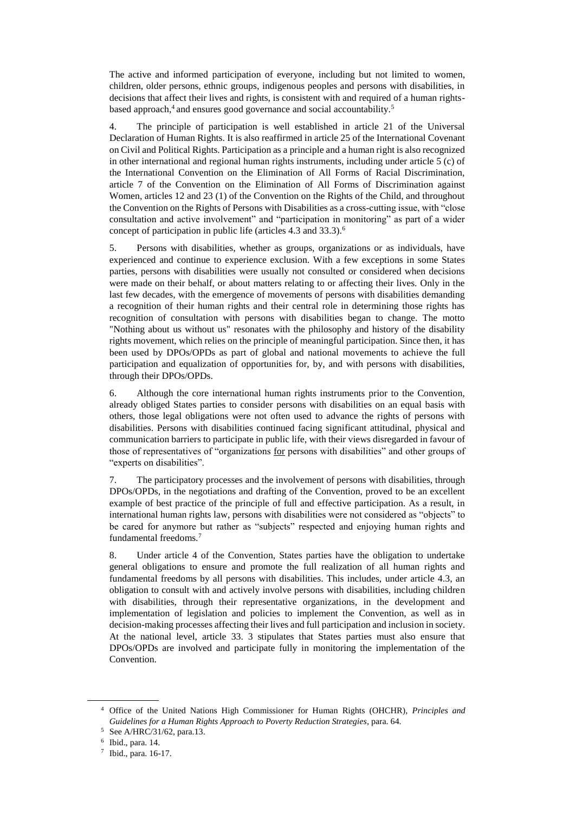The active and informed participation of everyone, including but not limited to women, children, older persons, ethnic groups, indigenous peoples and persons with disabilities, in decisions that affect their lives and rights, is consistent with and required of a human rightsbased approach,<sup>4</sup> and ensures good governance and social accountability.<sup>5</sup>

4. The principle of participation is well established in article 21 of the Universal Declaration of Human Rights. It is also reaffirmed in article 25 of the International Covenant on Civil and Political Rights. Participation as a principle and a human right is also recognized in other international and regional human rights instruments, including under article 5 (c) of the International Convention on the Elimination of All Forms of Racial Discrimination, article 7 of the Convention on the Elimination of All Forms of Discrimination against Women, articles 12 and 23 (1) of the Convention on the Rights of the Child, and throughout the Convention on the Rights of Persons with Disabilities as a cross-cutting issue, with "close consultation and active involvement" and "participation in monitoring" as part of a wider concept of participation in public life (articles 4.3 and 33.3).<sup>6</sup>

5. Persons with disabilities, whether as groups, organizations or as individuals, have experienced and continue to experience exclusion. With a few exceptions in some States parties, persons with disabilities were usually not consulted or considered when decisions were made on their behalf, or about matters relating to or affecting their lives. Only in the last few decades, with the emergence of movements of persons with disabilities demanding a recognition of their human rights and their central role in determining those rights has recognition of consultation with persons with disabilities began to change. The motto "Nothing about us without us" resonates with the philosophy and history of the disability rights movement, which relies on the principle of meaningful participation. Since then, it has been used by DPOs/OPDs as part of global and national movements to achieve the full participation and equalization of opportunities for, by, and with persons with disabilities, through their DPOs/OPDs.

6. Although the core international human rights instruments prior to the Convention, already obliged States parties to consider persons with disabilities on an equal basis with others, those legal obligations were not often used to advance the rights of persons with disabilities. Persons with disabilities continued facing significant attitudinal, physical and communication barriers to participate in public life, with their views disregarded in favour of those of representatives of "organizations for persons with disabilities" and other groups of "experts on disabilities".

7. The participatory processes and the involvement of persons with disabilities, through DPOs/OPDs, in the negotiations and drafting of the Convention, proved to be an excellent example of best practice of the principle of full and effective participation. As a result, in international human rights law, persons with disabilities were not considered as "objects" to be cared for anymore but rather as "subjects" respected and enjoying human rights and fundamental freedoms.<sup>7</sup>

8. Under article 4 of the Convention, States parties have the obligation to undertake general obligations to ensure and promote the full realization of all human rights and fundamental freedoms by all persons with disabilities. This includes, under article 4.3, an obligation to consult with and actively involve persons with disabilities, including children with disabilities, through their representative organizations, in the development and implementation of legislation and policies to implement the Convention, as well as in decision-making processes affecting their lives and full participation and inclusion in society. At the national level, article 33. 3 stipulates that States parties must also ensure that DPOs/OPDs are involved and participate fully in monitoring the implementation of the Convention.

<sup>4</sup> Office of the United Nations High Commissioner for Human Rights (OHCHR), *Principles and Guidelines for a Human Rights Approach to Poverty Reduction Strategies*, para. 64.

<sup>5</sup> See A/HRC/31/62, para.13.

<sup>6</sup> Ibid., para. 14.

<sup>7</sup> Ibid., para. 16-17.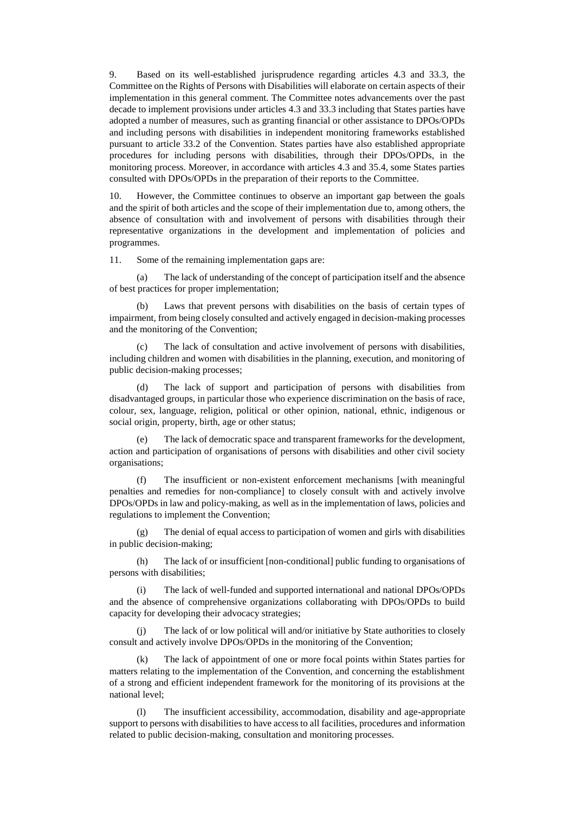9. Based on its well-established jurisprudence regarding articles 4.3 and 33.3, the Committee on the Rights of Persons with Disabilities will elaborate on certain aspects of their implementation in this general comment. The Committee notes advancements over the past decade to implement provisions under articles 4.3 and 33.3 including that States parties have adopted a number of measures, such as granting financial or other assistance to DPOs/OPDs and including persons with disabilities in independent monitoring frameworks established pursuant to article 33.2 of the Convention. States parties have also established appropriate procedures for including persons with disabilities, through their DPOs/OPDs, in the monitoring process. Moreover, in accordance with articles 4.3 and 35.4, some States parties consulted with DPOs/OPDs in the preparation of their reports to the Committee.

10. However, the Committee continues to observe an important gap between the goals and the spirit of both articles and the scope of their implementation due to, among others, the absence of consultation with and involvement of persons with disabilities through their representative organizations in the development and implementation of policies and programmes.

11. Some of the remaining implementation gaps are:

(a) The lack of understanding of the concept of participation itself and the absence of best practices for proper implementation;

(b) Laws that prevent persons with disabilities on the basis of certain types of impairment, from being closely consulted and actively engaged in decision-making processes and the monitoring of the Convention;

(c) The lack of consultation and active involvement of persons with disabilities, including children and women with disabilities in the planning, execution, and monitoring of public decision-making processes;

The lack of support and participation of persons with disabilities from disadvantaged groups, in particular those who experience discrimination on the basis of race, colour, sex, language, religion, political or other opinion, national, ethnic, indigenous or social origin, property, birth, age or other status;

(e) The lack of democratic space and transparent frameworks for the development, action and participation of organisations of persons with disabilities and other civil society organisations;

(f) The insufficient or non-existent enforcement mechanisms [with meaningful penalties and remedies for non-compliance] to closely consult with and actively involve DPOs/OPDs in law and policy-making, as well as in the implementation of laws, policies and regulations to implement the Convention;

(g) The denial of equal access to participation of women and girls with disabilities in public decision-making;

(h) The lack of or insufficient [non-conditional] public funding to organisations of persons with disabilities;

(i) The lack of well-funded and supported international and national DPOs/OPDs and the absence of comprehensive organizations collaborating with DPOs/OPDs to build capacity for developing their advocacy strategies;

(j) The lack of or low political will and/or initiative by State authorities to closely consult and actively involve DPOs/OPDs in the monitoring of the Convention;

The lack of appointment of one or more focal points within States parties for matters relating to the implementation of the Convention, and concerning the establishment of a strong and efficient independent framework for the monitoring of its provisions at the national level;

The insufficient accessibility, accommodation, disability and age-appropriate support to persons with disabilities to have access to all facilities, procedures and information related to public decision-making, consultation and monitoring processes.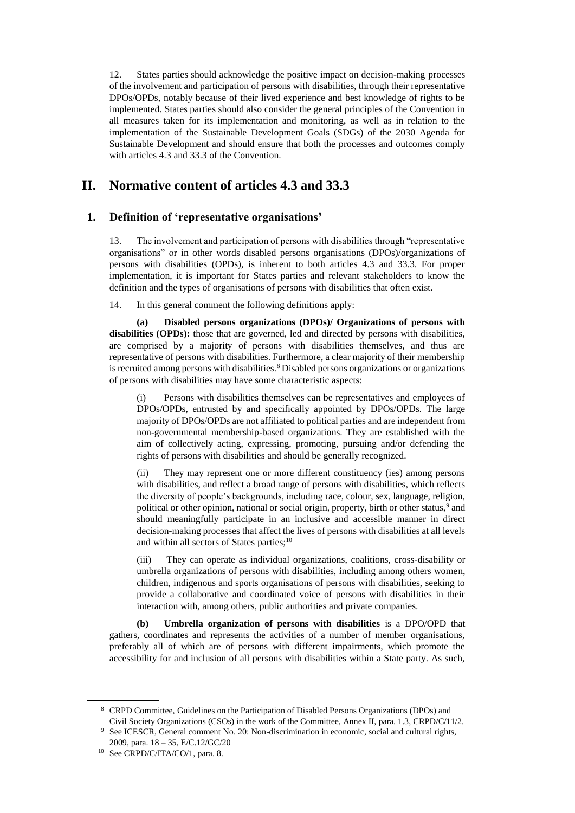12. States parties should acknowledge the positive impact on decision-making processes of the involvement and participation of persons with disabilities, through their representative DPOs/OPDs, notably because of their lived experience and best knowledge of rights to be implemented. States parties should also consider the general principles of the Convention in all measures taken for its implementation and monitoring, as well as in relation to the implementation of the Sustainable Development Goals (SDGs) of the 2030 Agenda for Sustainable Development and should ensure that both the processes and outcomes comply with articles 4.3 and 33.3 of the Convention.

## **II. Normative content of articles 4.3 and 33.3**

#### **1. Definition of 'representative organisations'**

13. The involvement and participation of persons with disabilities through "representative organisations" or in other words disabled persons organisations (DPOs)/organizations of persons with disabilities (OPDs), is inherent to both articles 4.3 and 33.3. For proper implementation, it is important for States parties and relevant stakeholders to know the definition and the types of organisations of persons with disabilities that often exist.

14. In this general comment the following definitions apply:

**(a) Disabled persons organizations (DPOs)/ Organizations of persons with disabilities (OPDs):** those that are governed, led and directed by persons with disabilities, are comprised by a majority of persons with disabilities themselves, and thus are representative of persons with disabilities. Furthermore, a clear majority of their membership is recruited among persons with disabilities.<sup>8</sup> Disabled persons organizations or organizations of persons with disabilities may have some characteristic aspects:

(i) Persons with disabilities themselves can be representatives and employees of DPOs/OPDs, entrusted by and specifically appointed by DPOs/OPDs. The large majority of DPOs/OPDs are not affiliated to political parties and are independent from non-governmental membership-based organizations. They are established with the aim of collectively acting, expressing, promoting, pursuing and/or defending the rights of persons with disabilities and should be generally recognized.

(ii) They may represent one or more different constituency (ies) among persons with disabilities, and reflect a broad range of persons with disabilities, which reflects the diversity of people's backgrounds, including race, colour, sex, language, religion, political or other opinion, national or social origin, property, birth or other status,<sup>9</sup> and should meaningfully participate in an inclusive and accessible manner in direct decision-making processes that affect the lives of persons with disabilities at all levels and within all sectors of States parties;<sup>10</sup>

(iii) They can operate as individual organizations, coalitions, cross-disability or umbrella organizations of persons with disabilities, including among others women, children, indigenous and sports organisations of persons with disabilities, seeking to provide a collaborative and coordinated voice of persons with disabilities in their interaction with, among others, public authorities and private companies.

**(b) Umbrella organization of persons with disabilities** is a DPO/OPD that gathers, coordinates and represents the activities of a number of member organisations, preferably all of which are of persons with different impairments, which promote the accessibility for and inclusion of all persons with disabilities within a State party. As such,

<sup>8</sup> CRPD Committee, Guidelines on the Participation of Disabled Persons Organizations (DPOs) and Civil Society Organizations (CSOs) in the work of the Committee, Annex II, para. 1.3, CRPD/C/11/2.

<sup>&</sup>lt;sup>9</sup> See ICESCR, General comment No. 20: Non-discrimination in economic, social and cultural rights, 2009, para. 18 – 35, E/C.12/GC/20

<sup>10</sup> See CRPD/C/ITA/CO/1, para. 8.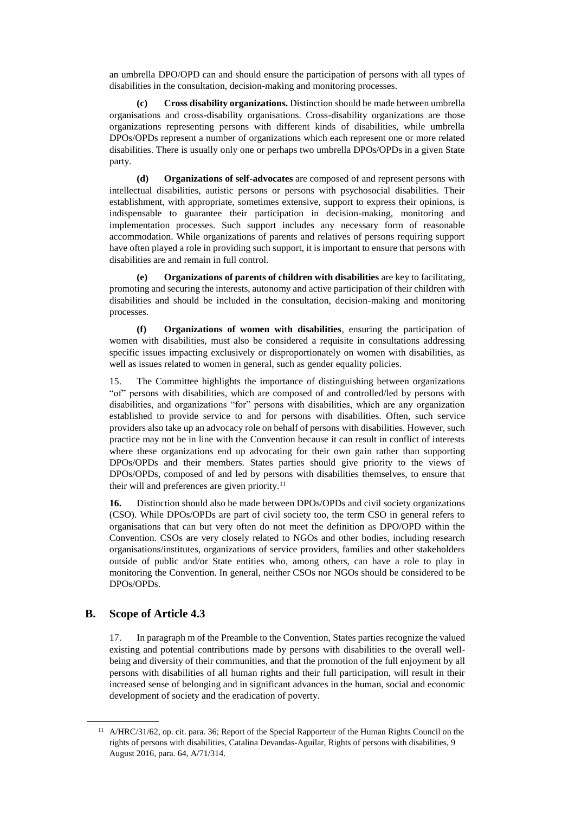an umbrella DPO/OPD can and should ensure the participation of persons with all types of disabilities in the consultation, decision-making and monitoring processes.

**(c) Cross disability organizations.** Distinction should be made between umbrella organisations and cross-disability organisations. Cross-disability organizations are those organizations representing persons with different kinds of disabilities, while umbrella DPOs/OPDs represent a number of organizations which each represent one or more related disabilities. There is usually only one or perhaps two umbrella DPOs/OPDs in a given State party.

**(d) Organizations of self-advocates** are composed of and represent persons with intellectual disabilities, autistic persons or persons with psychosocial disabilities. Their establishment, with appropriate, sometimes extensive, support to express their opinions, is indispensable to guarantee their participation in decision-making, monitoring and implementation processes. Such support includes any necessary form of reasonable accommodation. While organizations of parents and relatives of persons requiring support have often played a role in providing such support, it is important to ensure that persons with disabilities are and remain in full control.

**(e) Organizations of parents of children with disabilities** are key to facilitating, promoting and securing the interests, autonomy and active participation of their children with disabilities and should be included in the consultation, decision-making and monitoring processes.

**(f) Organizations of women with disabilities**, ensuring the participation of women with disabilities, must also be considered a requisite in consultations addressing specific issues impacting exclusively or disproportionately on women with disabilities, as well as issues related to women in general, such as gender equality policies.

15. The Committee highlights the importance of distinguishing between organizations "of" persons with disabilities, which are composed of and controlled/led by persons with disabilities, and organizations "for" persons with disabilities, which are any organization established to provide service to and for persons with disabilities. Often, such service providers also take up an advocacy role on behalf of persons with disabilities. However, such practice may not be in line with the Convention because it can result in conflict of interests where these organizations end up advocating for their own gain rather than supporting DPOs/OPDs and their members. States parties should give priority to the views of DPOs/OPDs, composed of and led by persons with disabilities themselves, to ensure that their will and preferences are given priority. $11$ 

**16.** Distinction should also be made between DPOs/OPDs and civil society organizations (CSO). While DPOs/OPDs are part of civil society too, the term CSO in general refers to organisations that can but very often do not meet the definition as DPO/OPD within the Convention. CSOs are very closely related to NGOs and other bodies, including research organisations/institutes, organizations of service providers, families and other stakeholders outside of public and/or State entities who, among others, can have a role to play in monitoring the Convention. In general, neither CSOs nor NGOs should be considered to be DPOs/OPDs.

#### **B. Scope of Article 4.3**

17. In paragraph m of the Preamble to the Convention, States parties recognize the valued existing and potential contributions made by persons with disabilities to the overall wellbeing and diversity of their communities, and that the promotion of the full enjoyment by all persons with disabilities of all human rights and their full participation, will result in their increased sense of belonging and in significant advances in the human, social and economic development of society and the eradication of poverty.

<sup>11</sup> A/HRC/31/62, op. cit. para. 36; Report of the Special Rapporteur of the Human Rights Council on the rights of persons with disabilities, Catalina Devandas-Aguilar, Rights of persons with disabilities, 9 August 2016, para. 64, A/71/314.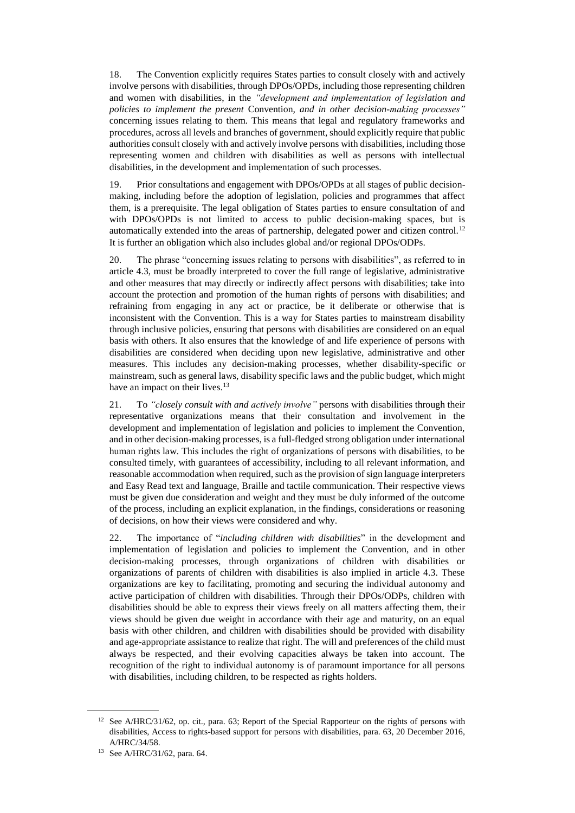18. The Convention explicitly requires States parties to consult closely with and actively involve persons with disabilities, through DPOs/OPDs, including those representing children and women with disabilities, in the *"development and implementation of legislation and policies to implement the present* Convention*, and in other decision-making processes"* concerning issues relating to them. This means that legal and regulatory frameworks and procedures, across all levels and branches of government, should explicitly require that public authorities consult closely with and actively involve persons with disabilities, including those representing women and children with disabilities as well as persons with intellectual disabilities, in the development and implementation of such processes.

19. Prior consultations and engagement with DPOs/OPDs at all stages of public decisionmaking, including before the adoption of legislation, policies and programmes that affect them, is a prerequisite. The legal obligation of States parties to ensure consultation of and with DPOs/OPDs is not limited to access to public decision-making spaces, but is automatically extended into the areas of partnership, delegated power and citizen control.<sup>12</sup> It is further an obligation which also includes global and/or regional DPOs/ODPs.

20. The phrase "concerning issues relating to persons with disabilities", as referred to in article 4.3, must be broadly interpreted to cover the full range of legislative, administrative and other measures that may directly or indirectly affect persons with disabilities; take into account the protection and promotion of the human rights of persons with disabilities; and refraining from engaging in any act or practice, be it deliberate or otherwise that is inconsistent with the Convention. This is a way for States parties to mainstream disability through inclusive policies, ensuring that persons with disabilities are considered on an equal basis with others. It also ensures that the knowledge of and life experience of persons with disabilities are considered when deciding upon new legislative, administrative and other measures. This includes any decision-making processes, whether disability-specific or mainstream, such as general laws, disability specific laws and the public budget, which might have an impact on their lives.<sup>13</sup>

21. To *"closely consult with and actively involve"* persons with disabilities through their representative organizations means that their consultation and involvement in the development and implementation of legislation and policies to implement the Convention, and in other decision-making processes, is a full-fledged strong obligation under international human rights law. This includes the right of organizations of persons with disabilities, to be consulted timely, with guarantees of accessibility, including to all relevant information, and reasonable accommodation when required, such as the provision of sign language interpreters and Easy Read text and language, Braille and tactile communication. Their respective views must be given due consideration and weight and they must be duly informed of the outcome of the process, including an explicit explanation, in the findings, considerations or reasoning of decisions, on how their views were considered and why.

22. The importance of "*including children with disabilities*" in the development and implementation of legislation and policies to implement the Convention, and in other decision-making processes, through organizations of children with disabilities or organizations of parents of children with disabilities is also implied in article 4.3. These organizations are key to facilitating, promoting and securing the individual autonomy and active participation of children with disabilities. Through their DPOs/ODPs, children with disabilities should be able to express their views freely on all matters affecting them, their views should be given due weight in accordance with their age and maturity, on an equal basis with other children, and children with disabilities should be provided with disability and age-appropriate assistance to realize that right. The will and preferences of the child must always be respected, and their evolving capacities always be taken into account. The recognition of the right to individual autonomy is of paramount importance for all persons with disabilities, including children, to be respected as rights holders.

<sup>&</sup>lt;sup>12</sup> See A/HRC/31/62, op. cit., para. 63; Report of the Special Rapporteur on the rights of persons with disabilities, Access to rights-based support for persons with disabilities, para. 63, 20 December 2016, A/HRC/34/58.

<sup>13</sup> See A/HRC/31/62, para. 64.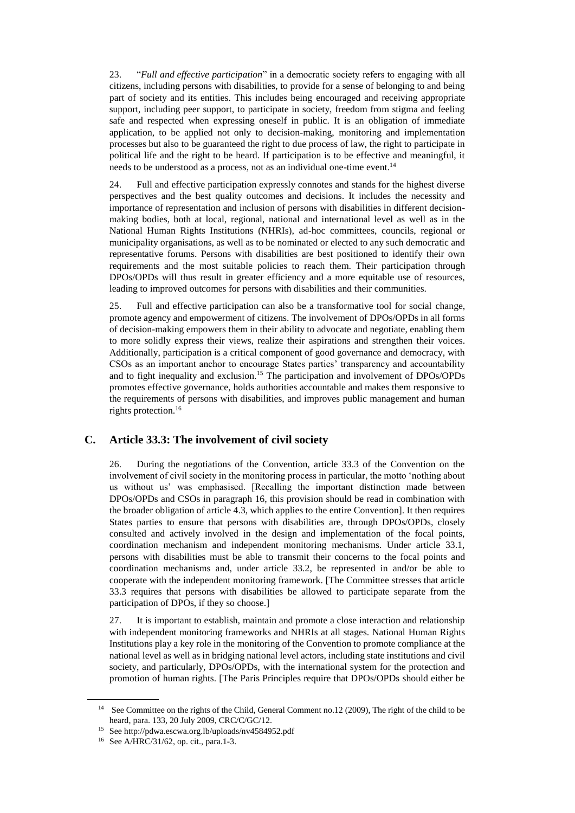23. "*Full and effective participation*" in a democratic society refers to engaging with all citizens, including persons with disabilities, to provide for a sense of belonging to and being part of society and its entities. This includes being encouraged and receiving appropriate support, including peer support, to participate in society, freedom from stigma and feeling safe and respected when expressing oneself in public. It is an obligation of immediate application, to be applied not only to decision-making, monitoring and implementation processes but also to be guaranteed the right to due process of law, the right to participate in political life and the right to be heard. If participation is to be effective and meaningful, it needs to be understood as a process, not as an individual one-time event.<sup>14</sup>

24. Full and effective participation expressly connotes and stands for the highest diverse perspectives and the best quality outcomes and decisions. It includes the necessity and importance of representation and inclusion of persons with disabilities in different decisionmaking bodies, both at local, regional, national and international level as well as in the National Human Rights Institutions (NHRIs), ad-hoc committees, councils, regional or municipality organisations, as well as to be nominated or elected to any such democratic and representative forums. Persons with disabilities are best positioned to identify their own requirements and the most suitable policies to reach them. Their participation through DPOs/OPDs will thus result in greater efficiency and a more equitable use of resources, leading to improved outcomes for persons with disabilities and their communities.

25. Full and effective participation can also be a transformative tool for social change, promote agency and empowerment of citizens. The involvement of DPOs/OPDs in all forms of decision-making empowers them in their ability to advocate and negotiate, enabling them to more solidly express their views, realize their aspirations and strengthen their voices. Additionally, participation is a critical component of good governance and democracy, with CSOs as an important anchor to encourage States parties' transparency and accountability and to fight inequality and exclusion.<sup>15</sup> The participation and involvement of DPOs/OPDs promotes effective governance, holds authorities accountable and makes them responsive to the requirements of persons with disabilities, and improves public management and human rights protection.<sup>16</sup>

#### **C. Article 33.3: The involvement of civil society**

26. During the negotiations of the Convention, article 33.3 of the Convention on the involvement of civil society in the monitoring process in particular, the motto 'nothing about us without us' was emphasised. [Recalling the important distinction made between DPOs/OPDs and CSOs in paragraph 16, this provision should be read in combination with the broader obligation of article 4.3, which applies to the entire Convention]. It then requires States parties to ensure that persons with disabilities are, through DPOs/OPDs, closely consulted and actively involved in the design and implementation of the focal points, coordination mechanism and independent monitoring mechanisms. Under article 33.1, persons with disabilities must be able to transmit their concerns to the focal points and coordination mechanisms and, under article 33.2, be represented in and/or be able to cooperate with the independent monitoring framework. [The Committee stresses that article 33.3 requires that persons with disabilities be allowed to participate separate from the participation of DPOs, if they so choose.]

27. It is important to establish, maintain and promote a close interaction and relationship with independent monitoring frameworks and NHRIs at all stages. National Human Rights Institutions play a key role in the monitoring of the Convention to promote compliance at the national level as well as in bridging national level actors, including state institutions and civil society, and particularly, DPOs/OPDs, with the international system for the protection and promotion of human rights. [The Paris Principles require that DPOs/OPDs should either be

<sup>&</sup>lt;sup>14</sup> See Committee on the rights of the Child, General Comment no.12 (2009), The right of the child to be heard, para. 133, 20 July 2009, CRC/C/GC/12.

<sup>15</sup> See http://pdwa.escwa.org.lb/uploads/nv4584952.pdf

<sup>16</sup> See A/HRC/31/62, op. cit., para.1-3.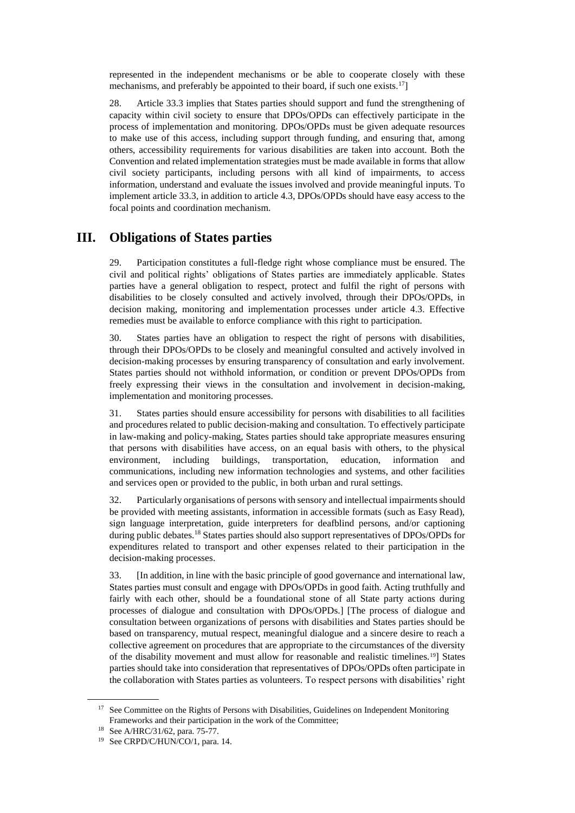represented in the independent mechanisms or be able to cooperate closely with these mechanisms, and preferably be appointed to their board, if such one exists.<sup>17</sup>

28. Article 33.3 implies that States parties should support and fund the strengthening of capacity within civil society to ensure that DPOs/OPDs can effectively participate in the process of implementation and monitoring. DPOs/OPDs must be given adequate resources to make use of this access, including support through funding, and ensuring that, among others, accessibility requirements for various disabilities are taken into account. Both the Convention and related implementation strategies must be made available in forms that allow civil society participants, including persons with all kind of impairments, to access information, understand and evaluate the issues involved and provide meaningful inputs. To implement article 33.3, in addition to article 4.3, DPOs/OPDs should have easy access to the focal points and coordination mechanism.

## **III. Obligations of States parties**

29. Participation constitutes a full-fledge right whose compliance must be ensured. The civil and political rights' obligations of States parties are immediately applicable. States parties have a general obligation to respect, protect and fulfil the right of persons with disabilities to be closely consulted and actively involved, through their DPOs/OPDs, in decision making, monitoring and implementation processes under article 4.3. Effective remedies must be available to enforce compliance with this right to participation.

30. States parties have an obligation to respect the right of persons with disabilities, through their DPOs/OPDs to be closely and meaningful consulted and actively involved in decision-making processes by ensuring transparency of consultation and early involvement. States parties should not withhold information, or condition or prevent DPOs/OPDs from freely expressing their views in the consultation and involvement in decision-making, implementation and monitoring processes.

31. States parties should ensure accessibility for persons with disabilities to all facilities and procedures related to public decision-making and consultation. To effectively participate in law-making and policy-making, States parties should take appropriate measures ensuring that persons with disabilities have access, on an equal basis with others, to the physical environment, including buildings, transportation, education, information and communications, including new information technologies and systems, and other facilities and services open or provided to the public, in both urban and rural settings.

32. Particularly organisations of persons with sensory and intellectual impairments should be provided with meeting assistants, information in accessible formats (such as Easy Read), sign language interpretation, guide interpreters for deafblind persons, and/or captioning during public debates.<sup>18</sup> States parties should also support representatives of DPOs/OPDs for expenditures related to transport and other expenses related to their participation in the decision-making processes.

33. [In addition, in line with the basic principle of good governance and international law, States parties must consult and engage with DPOs/OPDs in good faith. Acting truthfully and fairly with each other, should be a foundational stone of all State party actions during processes of dialogue and consultation with DPOs/OPDs.] [The process of dialogue and consultation between organizations of persons with disabilities and States parties should be based on transparency, mutual respect, meaningful dialogue and a sincere desire to reach a collective agreement on procedures that are appropriate to the circumstances of the diversity of the disability movement and must allow for reasonable and realistic timelines.19] States parties should take into consideration that representatives of DPOs/OPDs often participate in the collaboration with States parties as volunteers. To respect persons with disabilities' right

<sup>&</sup>lt;sup>17</sup> See Committee on the Rights of Persons with Disabilities, Guidelines on Independent Monitoring Frameworks and their participation in the work of the Committee;

<sup>18</sup> See A/HRC/31/62, para. 75-77.

<sup>19</sup> See CRPD/C/HUN/CO/1, para. 14.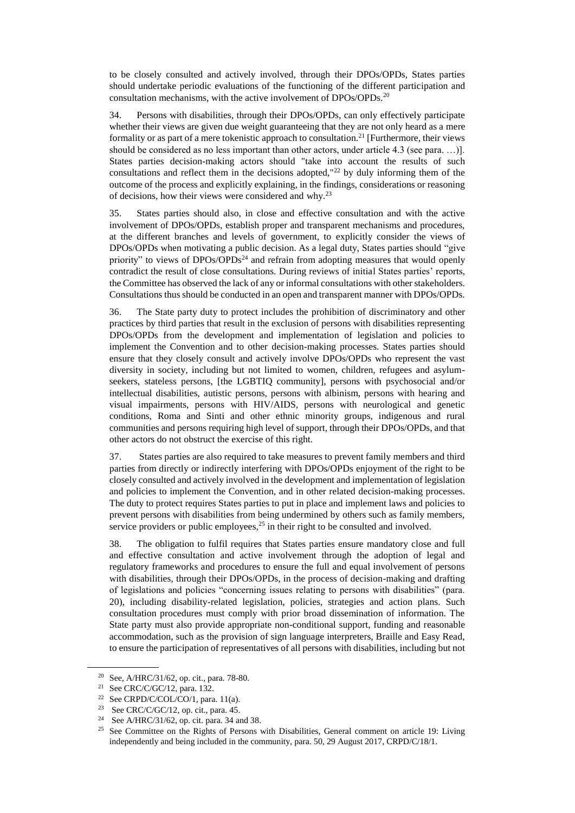to be closely consulted and actively involved, through their DPOs/OPDs, States parties should undertake periodic evaluations of the functioning of the different participation and consultation mechanisms, with the active involvement of DPOs/OPDs.<sup>20</sup>

34. Persons with disabilities, through their DPOs/OPDs, can only effectively participate whether their views are given due weight guaranteeing that they are not only heard as a mere formality or as part of a mere tokenistic approach to consultation.<sup>21</sup> [Furthermore, their views should be considered as no less important than other actors, under article 4.3 (see para. …)]. States parties decision-making actors should "take into account the results of such consultations and reflect them in the decisions adopted,"<sup>22</sup> by duly informing them of the outcome of the process and explicitly explaining, in the findings, considerations or reasoning of decisions, how their views were considered and why.<sup>23</sup>

35. States parties should also, in close and effective consultation and with the active involvement of DPOs/OPDs, establish proper and transparent mechanisms and procedures, at the different branches and levels of government, to explicitly consider the views of DPOs/OPDs when motivating a public decision. As a legal duty, States parties should "give priority" to views of  $DPOs/OPDs<sup>24</sup>$  and refrain from adopting measures that would openly contradict the result of close consultations. During reviews of initial States parties' reports, the Committee has observed the lack of any or informal consultations with other stakeholders. Consultations thus should be conducted in an open and transparent manner with DPOs/OPDs.

36. The State party duty to protect includes the prohibition of discriminatory and other practices by third parties that result in the exclusion of persons with disabilities representing DPOs/OPDs from the development and implementation of legislation and policies to implement the Convention and to other decision-making processes. States parties should ensure that they closely consult and actively involve DPOs/OPDs who represent the vast diversity in society, including but not limited to women, children, refugees and asylumseekers, stateless persons, [the LGBTIQ community], persons with psychosocial and/or intellectual disabilities, autistic persons, persons with albinism, persons with hearing and visual impairments, persons with HIV/AIDS, persons with neurological and genetic conditions, Roma and Sinti and other ethnic minority groups, indigenous and rural communities and persons requiring high level of support, through their DPOs/OPDs, and that other actors do not obstruct the exercise of this right.

37. States parties are also required to take measures to prevent family members and third parties from directly or indirectly interfering with DPOs/OPDs enjoyment of the right to be closely consulted and actively involved in the development and implementation of legislation and policies to implement the Convention, and in other related decision-making processes. The duty to protect requires States parties to put in place and implement laws and policies to prevent persons with disabilities from being undermined by others such as family members, service providers or public employees, $25$  in their right to be consulted and involved.

38. The obligation to fulfil requires that States parties ensure mandatory close and full and effective consultation and active involvement through the adoption of legal and regulatory frameworks and procedures to ensure the full and equal involvement of persons with disabilities, through their DPOs/OPDs, in the process of decision-making and drafting of legislations and policies "concerning issues relating to persons with disabilities" (para. 20), including disability-related legislation, policies, strategies and action plans. Such consultation procedures must comply with prior broad dissemination of information. The State party must also provide appropriate non-conditional support, funding and reasonable accommodation, such as the provision of sign language interpreters, Braille and Easy Read, to ensure the participation of representatives of all persons with disabilities, including but not

<sup>20</sup> See, A/HRC/31/62, op. cit., para. 78-80.

<sup>21</sup> See CRC/C/GC/12, para. 132.

<sup>&</sup>lt;sup>22</sup> See CRPD/C/COL/CO/1, para. 11(a).

<sup>&</sup>lt;sup>23</sup> See CRC/C/GC/12, op. cit., para. 45.

<sup>24</sup> See A/HRC/31/62, op. cit. para. 34 and 38.

<sup>&</sup>lt;sup>25</sup> See Committee on the Rights of Persons with Disabilities, General comment on article 19: Living independently and being included in the community, para. 50, 29 August 2017, CRPD/C/18/1.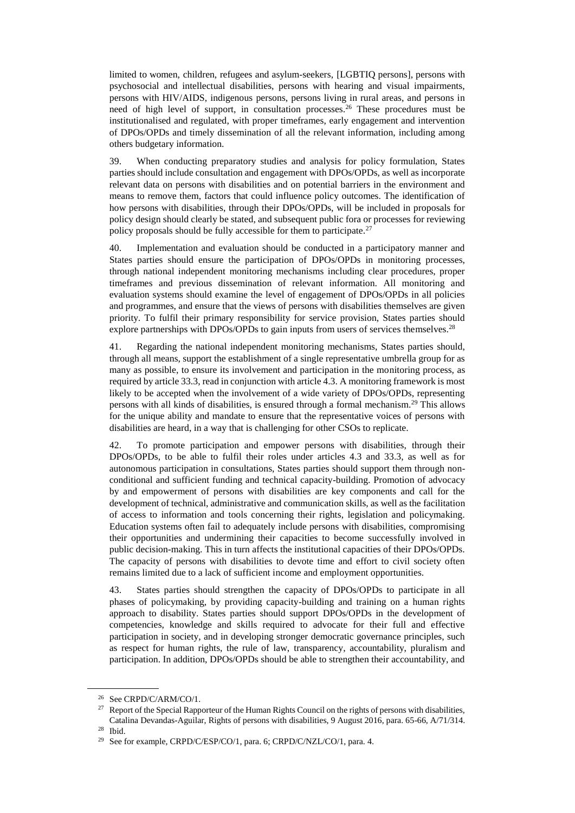limited to women, children, refugees and asylum-seekers, [LGBTIQ persons], persons with psychosocial and intellectual disabilities, persons with hearing and visual impairments, persons with HIV/AIDS, indigenous persons, persons living in rural areas, and persons in need of high level of support, in consultation processes.<sup>26</sup> These procedures must be institutionalised and regulated, with proper timeframes, early engagement and intervention of DPOs/OPDs and timely dissemination of all the relevant information, including among others budgetary information.

39. When conducting preparatory studies and analysis for policy formulation, States parties should include consultation and engagement with DPOs/OPDs, as well as incorporate relevant data on persons with disabilities and on potential barriers in the environment and means to remove them, factors that could influence policy outcomes. The identification of how persons with disabilities, through their DPOs/OPDs, will be included in proposals for policy design should clearly be stated, and subsequent public fora or processes for reviewing policy proposals should be fully accessible for them to participate.<sup>27</sup>

40. Implementation and evaluation should be conducted in a participatory manner and States parties should ensure the participation of DPOs/OPDs in monitoring processes, through national independent monitoring mechanisms including clear procedures, proper timeframes and previous dissemination of relevant information. All monitoring and evaluation systems should examine the level of engagement of DPOs/OPDs in all policies and programmes, and ensure that the views of persons with disabilities themselves are given priority. To fulfil their primary responsibility for service provision, States parties should explore partnerships with DPOs/OPDs to gain inputs from users of services themselves.<sup>28</sup>

41. Regarding the national independent monitoring mechanisms, States parties should, through all means, support the establishment of a single representative umbrella group for as many as possible, to ensure its involvement and participation in the monitoring process, as required by article 33.3, read in conjunction with article 4.3. A monitoring framework is most likely to be accepted when the involvement of a wide variety of DPOs/OPDs, representing persons with all kinds of disabilities, is ensured through a formal mechanism.<sup>29</sup> This allows for the unique ability and mandate to ensure that the representative voices of persons with disabilities are heard, in a way that is challenging for other CSOs to replicate.

42. To promote participation and empower persons with disabilities, through their DPOs/OPDs, to be able to fulfil their roles under articles 4.3 and 33.3, as well as for autonomous participation in consultations, States parties should support them through nonconditional and sufficient funding and technical capacity-building. Promotion of advocacy by and empowerment of persons with disabilities are key components and call for the development of technical, administrative and communication skills, as well as the facilitation of access to information and tools concerning their rights, legislation and policymaking. Education systems often fail to adequately include persons with disabilities, compromising their opportunities and undermining their capacities to become successfully involved in public decision-making. This in turn affects the institutional capacities of their DPOs/OPDs. The capacity of persons with disabilities to devote time and effort to civil society often remains limited due to a lack of sufficient income and employment opportunities.

43. States parties should strengthen the capacity of DPOs/OPDs to participate in all phases of policymaking, by providing capacity-building and training on a human rights approach to disability. States parties should support DPOs/OPDs in the development of competencies, knowledge and skills required to advocate for their full and effective participation in society, and in developing stronger democratic governance principles, such as respect for human rights, the rule of law, transparency, accountability, pluralism and participation. In addition, DPOs/OPDs should be able to strengthen their accountability, and

<sup>26</sup> See CRPD/C/ARM/CO/1.

<sup>&</sup>lt;sup>27</sup> Report of the Special Rapporteur of the Human Rights Council on the rights of persons with disabilities, Catalina Devandas-Aguilar, Rights of persons with disabilities, 9 August 2016, para. 65-66, A/71/314.

<sup>28</sup> Ibid.

<sup>&</sup>lt;sup>29</sup> See for example, CRPD/C/ESP/CO/1, para. 6; CRPD/C/NZL/CO/1, para. 4.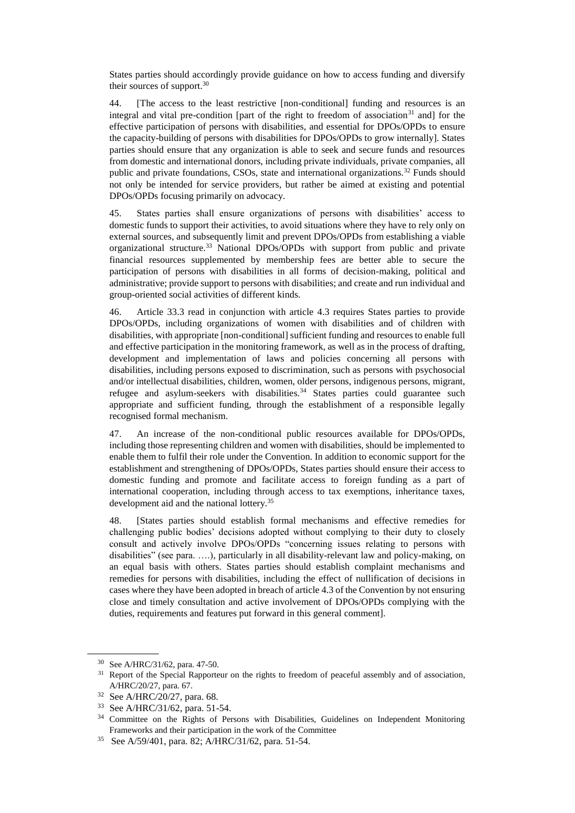States parties should accordingly provide guidance on how to access funding and diversify their sources of support. $30$ 

44. [The access to the least restrictive [non-conditional] funding and resources is an integral and vital pre-condition [part of the right to freedom of association<sup>31</sup> and] for the effective participation of persons with disabilities, and essential for DPOs/OPDs to ensure the capacity-building of persons with disabilities for DPOs/OPDs to grow internally]. States parties should ensure that any organization is able to seek and secure funds and resources from domestic and international donors, including private individuals, private companies, all public and private foundations, CSOs, state and international organizations.<sup>32</sup> Funds should not only be intended for service providers, but rather be aimed at existing and potential DPOs/OPDs focusing primarily on advocacy.

45. States parties shall ensure organizations of persons with disabilities' access to domestic funds to support their activities, to avoid situations where they have to rely only on external sources, and subsequently limit and prevent DPOs/OPDs from establishing a viable organizational structure.<sup>33</sup> National DPOs/OPDs with support from public and private financial resources supplemented by membership fees are better able to secure the participation of persons with disabilities in all forms of decision-making, political and administrative; provide support to persons with disabilities; and create and run individual and group-oriented social activities of different kinds.

46. Article 33.3 read in conjunction with article 4.3 requires States parties to provide DPOs/OPDs, including organizations of women with disabilities and of children with disabilities, with appropriate [non-conditional] sufficient funding and resources to enable full and effective participation in the monitoring framework, as well as in the process of drafting, development and implementation of laws and policies concerning all persons with disabilities, including persons exposed to discrimination, such as persons with psychosocial and/or intellectual disabilities, children, women, older persons, indigenous persons, migrant, refugee and asylum-seekers with disabilities.<sup>34</sup> States parties could guarantee such appropriate and sufficient funding, through the establishment of a responsible legally recognised formal mechanism.

47. An increase of the non-conditional public resources available for DPOs/OPDs, including those representing children and women with disabilities, should be implemented to enable them to fulfil their role under the Convention. In addition to economic support for the establishment and strengthening of DPOs/OPDs, States parties should ensure their access to domestic funding and promote and facilitate access to foreign funding as a part of international cooperation, including through access to tax exemptions, inheritance taxes, development aid and the national lottery.<sup>35</sup>

48. [States parties should establish formal mechanisms and effective remedies for challenging public bodies' decisions adopted without complying to their duty to closely consult and actively involve DPOs/OPDs "concerning issues relating to persons with disabilities" (see para. ….)*,* particularly in all disability-relevant law and policy-making, on an equal basis with others. States parties should establish complaint mechanisms and remedies for persons with disabilities, including the effect of nullification of decisions in cases where they have been adopted in breach of article 4.3 of the Convention by not ensuring close and timely consultation and active involvement of DPOs/OPDs complying with the duties, requirements and features put forward in this general comment].

<sup>30</sup> See A/HRC/31/62, para. 47-50.

<sup>&</sup>lt;sup>31</sup> Report of the Special Rapporteur on the rights to freedom of peaceful assembly and of association, A/HRC/20/27, para. 67.

<sup>32</sup> See A/HRC/20/27, para. 68.

<sup>33</sup> See A/HRC/31/62, para. 51-54.

<sup>&</sup>lt;sup>34</sup> Committee on the Rights of Persons with Disabilities, Guidelines on Independent Monitoring Frameworks and their participation in the work of the Committee

<sup>35</sup> See A/59/401, para. 82; A/HRC/31/62, para. 51-54.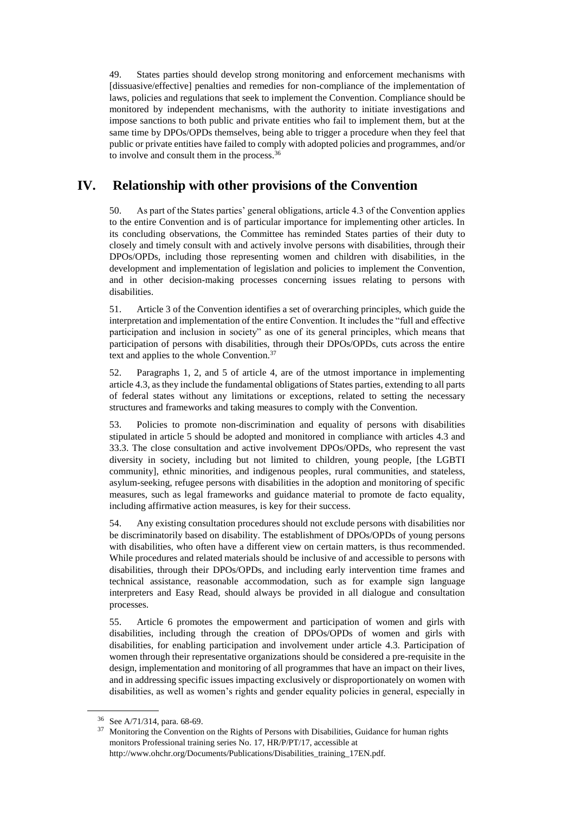49. States parties should develop strong monitoring and enforcement mechanisms with [dissuasive/effective] penalties and remedies for non-compliance of the implementation of laws, policies and regulations that seek to implement the Convention. Compliance should be monitored by independent mechanisms, with the authority to initiate investigations and impose sanctions to both public and private entities who fail to implement them, but at the same time by DPOs/OPDs themselves, being able to trigger a procedure when they feel that public or private entities have failed to comply with adopted policies and programmes, and/or to involve and consult them in the process.<sup>36</sup>

## **IV. Relationship with other provisions of the Convention**

50. As part of the States parties' general obligations, article 4.3 of the Convention applies to the entire Convention and is of particular importance for implementing other articles. In its concluding observations, the Committee has reminded States parties of their duty to closely and timely consult with and actively involve persons with disabilities, through their DPOs/OPDs, including those representing women and children with disabilities, in the development and implementation of legislation and policies to implement the Convention, and in other decision-making processes concerning issues relating to persons with disabilities.

51. Article 3 of the Convention identifies a set of overarching principles, which guide the interpretation and implementation of the entire Convention. It includes the "full and effective participation and inclusion in society" as one of its general principles, which means that participation of persons with disabilities, through their DPOs/OPDs, cuts across the entire text and applies to the whole Convention.<sup>37</sup>

52. Paragraphs 1, 2, and 5 of article 4, are of the utmost importance in implementing article 4.3, as they include the fundamental obligations of States parties, extending to all parts of federal states without any limitations or exceptions, related to setting the necessary structures and frameworks and taking measures to comply with the Convention.

53. Policies to promote non-discrimination and equality of persons with disabilities stipulated in article 5 should be adopted and monitored in compliance with articles 4.3 and 33.3. The close consultation and active involvement DPOs/OPDs, who represent the vast diversity in society, including but not limited to children, young people, [the LGBTI community], ethnic minorities, and indigenous peoples, rural communities, and stateless, asylum-seeking, refugee persons with disabilities in the adoption and monitoring of specific measures, such as legal frameworks and guidance material to promote de facto equality, including affirmative action measures, is key for their success.

54. Any existing consultation procedures should not exclude persons with disabilities nor be discriminatorily based on disability. The establishment of DPOs/OPDs of young persons with disabilities, who often have a different view on certain matters, is thus recommended. While procedures and related materials should be inclusive of and accessible to persons with disabilities, through their DPOs/OPDs, and including early intervention time frames and technical assistance, reasonable accommodation, such as for example sign language interpreters and Easy Read, should always be provided in all dialogue and consultation processes.

55. Article 6 promotes the empowerment and participation of women and girls with disabilities, including through the creation of DPOs/OPDs of women and girls with disabilities, for enabling participation and involvement under article 4.3. Participation of women through their representative organizations should be considered a pre-requisite in the design, implementation and monitoring of all programmes that have an impact on their lives, and in addressing specific issues impacting exclusively or disproportionately on women with disabilities, as well as women's rights and gender equality policies in general, especially in

 $36$  See A/71/314, para. 68-69.

Monitoring the Convention on the Rights of Persons with Disabilities, Guidance for human rights monitors Professional training series No. 17, HR/P/PT/17, accessible at http://www.ohchr.org/Documents/Publications/Disabilities\_training\_17EN.pdf.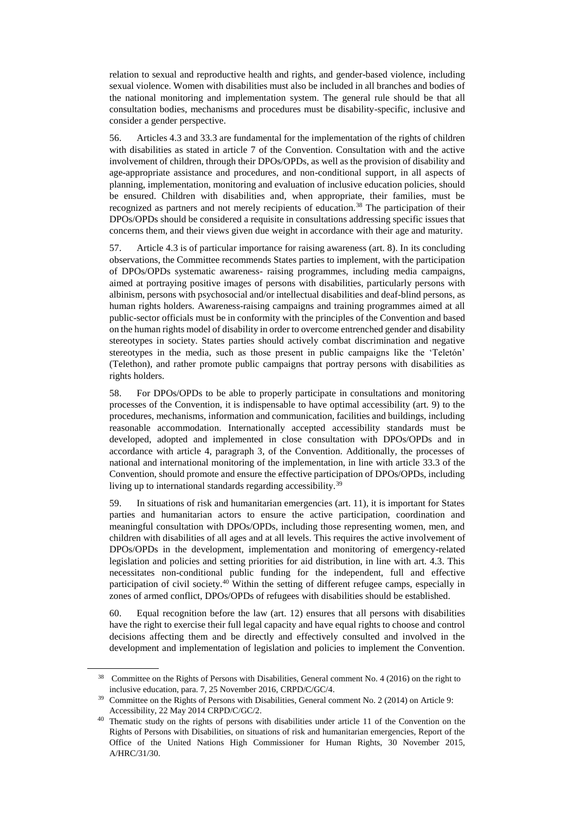relation to sexual and reproductive health and rights, and gender-based violence, including sexual violence. Women with disabilities must also be included in all branches and bodies of the national monitoring and implementation system. The general rule should be that all consultation bodies, mechanisms and procedures must be disability-specific, inclusive and consider a gender perspective.

56. Articles 4.3 and 33.3 are fundamental for the implementation of the rights of children with disabilities as stated in article 7 of the Convention. Consultation with and the active involvement of children, through their DPOs/OPDs, as well as the provision of disability and age-appropriate assistance and procedures, and non-conditional support, in all aspects of planning, implementation, monitoring and evaluation of inclusive education policies, should be ensured. Children with disabilities and, when appropriate, their families, must be recognized as partners and not merely recipients of education.<sup>38</sup> The participation of their DPOs/OPDs should be considered a requisite in consultations addressing specific issues that concerns them, and their views given due weight in accordance with their age and maturity.

57. Article 4.3 is of particular importance for raising awareness (art. 8). In its concluding observations, the Committee recommends States parties to implement, with the participation of DPOs/OPDs systematic awareness- raising programmes, including media campaigns, aimed at portraying positive images of persons with disabilities, particularly persons with albinism, persons with psychosocial and/or intellectual disabilities and deaf-blind persons, as human rights holders. Awareness-raising campaigns and training programmes aimed at all public-sector officials must be in conformity with the principles of the Convention and based on the human rights model of disability in order to overcome entrenched gender and disability stereotypes in society. States parties should actively combat discrimination and negative stereotypes in the media, such as those present in public campaigns like the 'Teletón' (Telethon), and rather promote public campaigns that portray persons with disabilities as rights holders.

58. For DPOs/OPDs to be able to properly participate in consultations and monitoring processes of the Convention, it is indispensable to have optimal accessibility (art. 9) to the procedures, mechanisms, information and communication, facilities and buildings, including reasonable accommodation. Internationally accepted accessibility standards must be developed, adopted and implemented in close consultation with DPOs/OPDs and in accordance with article 4, paragraph 3, of the Convention. Additionally, the processes of national and international monitoring of the implementation, in line with article 33.3 of the Convention, should promote and ensure the effective participation of DPOs/OPDs, including living up to international standards regarding accessibility.<sup>39</sup>

59. In situations of risk and humanitarian emergencies (art. 11), it is important for States parties and humanitarian actors to ensure the active participation, coordination and meaningful consultation with DPOs/OPDs, including those representing women, men, and children with disabilities of all ages and at all levels. This requires the active involvement of DPOs/OPDs in the development, implementation and monitoring of emergency-related legislation and policies and setting priorities for aid distribution, in line with art. 4.3. This necessitates non-conditional public funding for the independent, full and effective participation of civil society.<sup>40</sup> Within the setting of different refugee camps, especially in zones of armed conflict, DPOs/OPDs of refugees with disabilities should be established.

60. Equal recognition before the law (art. 12) ensures that all persons with disabilities have the right to exercise their full legal capacity and have equal rights to choose and control decisions affecting them and be directly and effectively consulted and involved in the development and implementation of legislation and policies to implement the Convention.

<sup>38</sup> Committee on the Rights of Persons with Disabilities, General comment No. 4 (2016) on the right to inclusive education, para. 7, 25 November 2016, CRPD/C/GC/4.

<sup>39</sup> Committee on the Rights of Persons with Disabilities, General comment No. 2 (2014) on Article 9: Accessibility, 22 May 2014 CRPD/C/GC/2.

<sup>&</sup>lt;sup>40</sup> Thematic study on the rights of persons with disabilities under article 11 of the Convention on the Rights of Persons with Disabilities, on situations of risk and humanitarian emergencies, Report of the Office of the United Nations High Commissioner for Human Rights, 30 November 2015, A/HRC/31/30.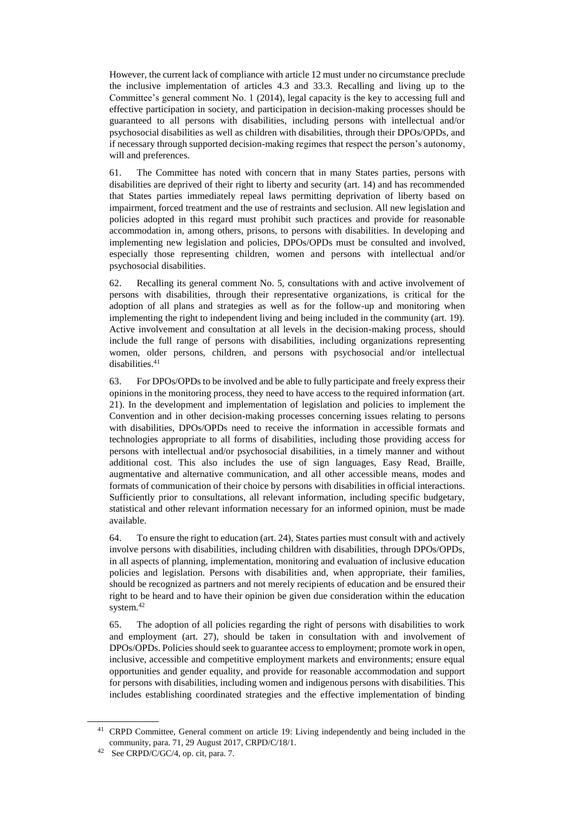However, the current lack of compliance with article 12 must under no circumstance preclude the inclusive implementation of articles 4.3 and 33.3. Recalling and living up to the Committee's general comment No. 1 (2014), legal capacity is the key to accessing full and effective participation in society, and participation in decision-making processes should be guaranteed to all persons with disabilities, including persons with intellectual and/or psychosocial disabilities as well as children with disabilities, through their DPOs/OPDs, and if necessary through supported decision-making regimes that respect the person's autonomy, will and preferences.

61. The Committee has noted with concern that in many States parties, persons with disabilities are deprived of their right to liberty and security (art. 14) and has recommended that States parties immediately repeal laws permitting deprivation of liberty based on impairment, forced treatment and the use of restraints and seclusion. All new legislation and policies adopted in this regard must prohibit such practices and provide for reasonable accommodation in, among others, prisons, to persons with disabilities. In developing and implementing new legislation and policies, DPOs/OPDs must be consulted and involved, especially those representing children, women and persons with intellectual and/or psychosocial disabilities.

62. Recalling its general comment No. 5, consultations with and active involvement of persons with disabilities, through their representative organizations, is critical for the adoption of all plans and strategies as well as for the follow-up and monitoring when implementing the right to independent living and being included in the community (art. 19). Active involvement and consultation at all levels in the decision-making process, should include the full range of persons with disabilities, including organizations representing women, older persons, children, and persons with psychosocial and/or intellectual disabilities.<sup>41</sup>

63. For DPOs/OPDs to be involved and be able to fully participate and freely express their opinions in the monitoring process, they need to have access to the required information (art. 21). In the development and implementation of legislation and policies to implement the Convention and in other decision-making processes concerning issues relating to persons with disabilities, DPOs/OPDs need to receive the information in accessible formats and technologies appropriate to all forms of disabilities, including those providing access for persons with intellectual and/or psychosocial disabilities, in a timely manner and without additional cost. This also includes the use of sign languages, Easy Read, Braille, augmentative and alternative communication, and all other accessible means, modes and formats of communication of their choice by persons with disabilities in official interactions. Sufficiently prior to consultations, all relevant information, including specific budgetary, statistical and other relevant information necessary for an informed opinion, must be made available.

64. To ensure the right to education (art. 24), States parties must consult with and actively involve persons with disabilities, including children with disabilities, through DPOs/OPDs, in all aspects of planning, implementation, monitoring and evaluation of inclusive education policies and legislation. Persons with disabilities and, when appropriate, their families, should be recognized as partners and not merely recipients of education and be ensured their right to be heard and to have their opinion be given due consideration within the education system.<sup>42</sup>

65. The adoption of all policies regarding the right of persons with disabilities to work and employment (art. 27), should be taken in consultation with and involvement of DPOs/OPDs. Policies should seek to guarantee access to employment; promote work in open, inclusive, accessible and competitive employment markets and environments; ensure equal opportunities and gender equality, and provide for reasonable accommodation and support for persons with disabilities, including women and indigenous persons with disabilities. This includes establishing coordinated strategies and the effective implementation of binding

<sup>&</sup>lt;sup>41</sup> CRPD Committee, General comment on article 19: Living independently and being included in the community, para. 71, 29 August 2017, CRPD/C/18/1.

<sup>42</sup> See CRPD/C/GC/4, op. cit, para. 7.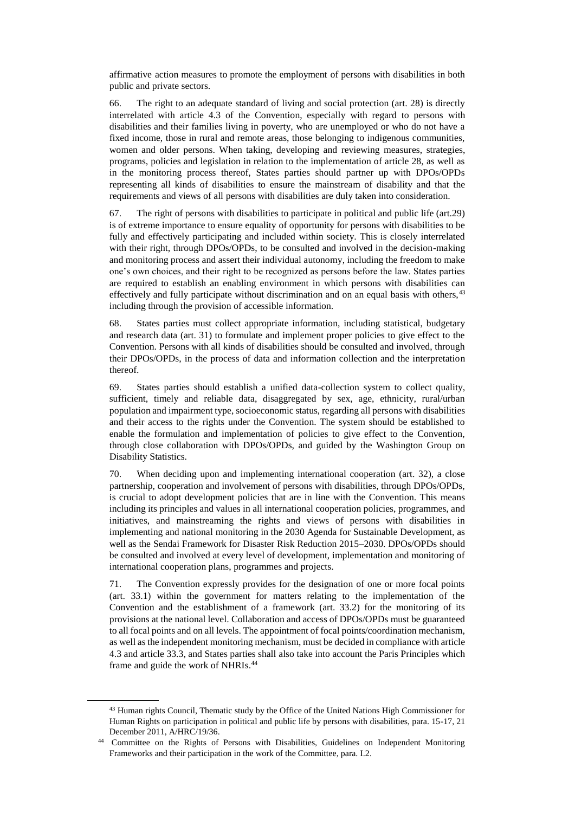affirmative action measures to promote the employment of persons with disabilities in both public and private sectors.

66. The right to an adequate standard of living and social protection (art. 28) is directly interrelated with article 4.3 of the Convention, especially with regard to persons with disabilities and their families living in poverty, who are unemployed or who do not have a fixed income, those in rural and remote areas, those belonging to indigenous communities, women and older persons. When taking, developing and reviewing measures, strategies, programs, policies and legislation in relation to the implementation of article 28, as well as in the monitoring process thereof, States parties should partner up with DPOs/OPDs representing all kinds of disabilities to ensure the mainstream of disability and that the requirements and views of all persons with disabilities are duly taken into consideration.

67. The right of persons with disabilities to participate in political and public life (art.29) is of extreme importance to ensure equality of opportunity for persons with disabilities to be fully and effectively participating and included within society. This is closely interrelated with their right, through DPOs/OPDs, to be consulted and involved in the decision-making and monitoring process and assert their individual autonomy, including the freedom to make one's own choices, and their right to be recognized as persons before the law. States parties are required to establish an enabling environment in which persons with disabilities can effectively and fully participate without discrimination and on an equal basis with others,<sup>43</sup> including through the provision of accessible information.

68. States parties must collect appropriate information, including statistical, budgetary and research data (art. 31) to formulate and implement proper policies to give effect to the Convention. Persons with all kinds of disabilities should be consulted and involved, through their DPOs/OPDs, in the process of data and information collection and the interpretation thereof.

69. States parties should establish a unified data-collection system to collect quality, sufficient, timely and reliable data, disaggregated by sex, age, ethnicity, rural/urban population and impairment type, socioeconomic status, regarding all persons with disabilities and their access to the rights under the Convention. The system should be established to enable the formulation and implementation of policies to give effect to the Convention, through close collaboration with DPOs/OPDs, and guided by the Washington Group on Disability Statistics.

70. When deciding upon and implementing international cooperation (art. 32), a close partnership, cooperation and involvement of persons with disabilities, through DPOs/OPDs, is crucial to adopt development policies that are in line with the Convention. This means including its principles and values in all international cooperation policies, programmes, and initiatives, and mainstreaming the rights and views of persons with disabilities in implementing and national monitoring in the 2030 Agenda for Sustainable Development, as well as the Sendai Framework for Disaster Risk Reduction 2015–2030. DPOs/OPDs should be consulted and involved at every level of development, implementation and monitoring of international cooperation plans, programmes and projects.

71. The Convention expressly provides for the designation of one or more focal points (art. 33.1) within the government for matters relating to the implementation of the Convention and the establishment of a framework (art. 33.2) for the monitoring of its provisions at the national level. Collaboration and access of DPOs/OPDs must be guaranteed to all focal points and on all levels. The appointment of focal points/coordination mechanism, as well as the independent monitoring mechanism, must be decided in compliance with article 4.3 and article 33.3, and States parties shall also take into account the Paris Principles which frame and guide the work of NHRIs.<sup>44</sup>

<sup>&</sup>lt;sup>43</sup> Human rights Council, Thematic study by the Office of the United Nations High Commissioner for Human Rights on participation in political and public life by persons with disabilities, para. 15-17, 21 December 2011, A/HRC/19/36.

<sup>44</sup> Committee on the Rights of Persons with Disabilities, Guidelines on Independent Monitoring Frameworks and their participation in the work of the Committee, para. I.2.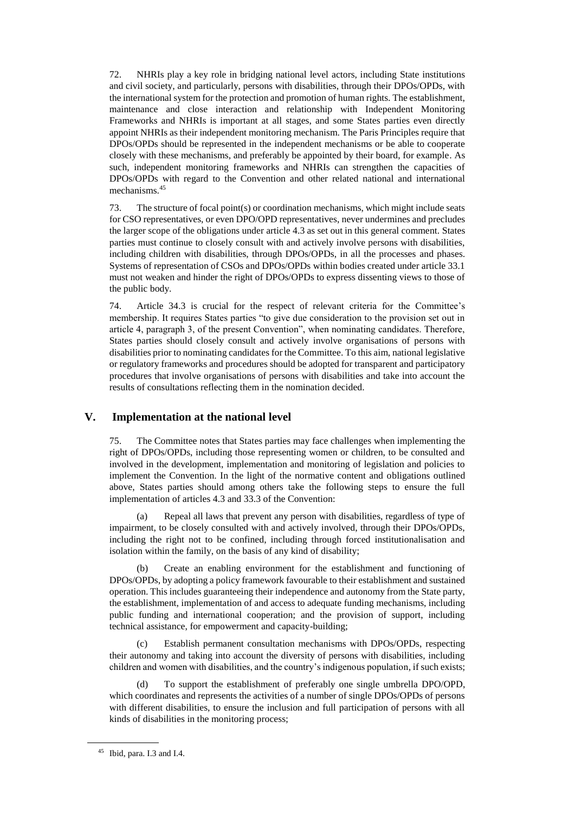72. NHRIs play a key role in bridging national level actors, including State institutions and civil society, and particularly, persons with disabilities, through their DPOs/OPDs, with the international system for the protection and promotion of human rights. The establishment, maintenance and close interaction and relationship with Independent Monitoring Frameworks and NHRIs is important at all stages, and some States parties even directly appoint NHRIs as their independent monitoring mechanism. The Paris Principles require that DPOs/OPDs should be represented in the independent mechanisms or be able to cooperate closely with these mechanisms, and preferably be appointed by their board, for example. As such, independent monitoring frameworks and NHRIs can strengthen the capacities of DPOs/OPDs with regard to the Convention and other related national and international mechanisms.<sup>45</sup>

73. The structure of focal point(s) or coordination mechanisms, which might include seats for CSO representatives, or even DPO/OPD representatives, never undermines and precludes the larger scope of the obligations under article 4.3 as set out in this general comment. States parties must continue to closely consult with and actively involve persons with disabilities, including children with disabilities, through DPOs/OPDs, in all the processes and phases. Systems of representation of CSOs and DPOs/OPDs within bodies created under article 33.1 must not weaken and hinder the right of DPOs/OPDs to express dissenting views to those of the public body.

74. Article 34.3 is crucial for the respect of relevant criteria for the Committee's membership. It requires States parties "to give due consideration to the provision set out in article 4, paragraph 3, of the present Convention", when nominating candidates. Therefore, States parties should closely consult and actively involve organisations of persons with disabilities prior to nominating candidates for the Committee. To this aim, national legislative or regulatory frameworks and procedures should be adopted for transparent and participatory procedures that involve organisations of persons with disabilities and take into account the results of consultations reflecting them in the nomination decided.

### **V. Implementation at the national level**

75. The Committee notes that States parties may face challenges when implementing the right of DPOs/OPDs, including those representing women or children, to be consulted and involved in the development, implementation and monitoring of legislation and policies to implement the Convention. In the light of the normative content and obligations outlined above, States parties should among others take the following steps to ensure the full implementation of articles 4.3 and 33.3 of the Convention:

(a) Repeal all laws that prevent any person with disabilities, regardless of type of impairment, to be closely consulted with and actively involved, through their DPOs/OPDs, including the right not to be confined, including through forced institutionalisation and isolation within the family, on the basis of any kind of disability;

(b) Create an enabling environment for the establishment and functioning of DPOs/OPDs, by adopting a policy framework favourable to their establishment and sustained operation. This includes guaranteeing their independence and autonomy from the State party, the establishment, implementation of and access to adequate funding mechanisms, including public funding and international cooperation; and the provision of support, including technical assistance, for empowerment and capacity-building;

Establish permanent consultation mechanisms with DPOs/OPDs, respecting their autonomy and taking into account the diversity of persons with disabilities, including children and women with disabilities, and the country's indigenous population*,* if such exists;

(d) To support the establishment of preferably one single umbrella DPO/OPD, which coordinates and represents the activities of a number of single DPOs/OPDs of persons with different disabilities, to ensure the inclusion and full participation of persons with all kinds of disabilities in the monitoring process;

<sup>45</sup> Ibid, para. I.3 and I.4.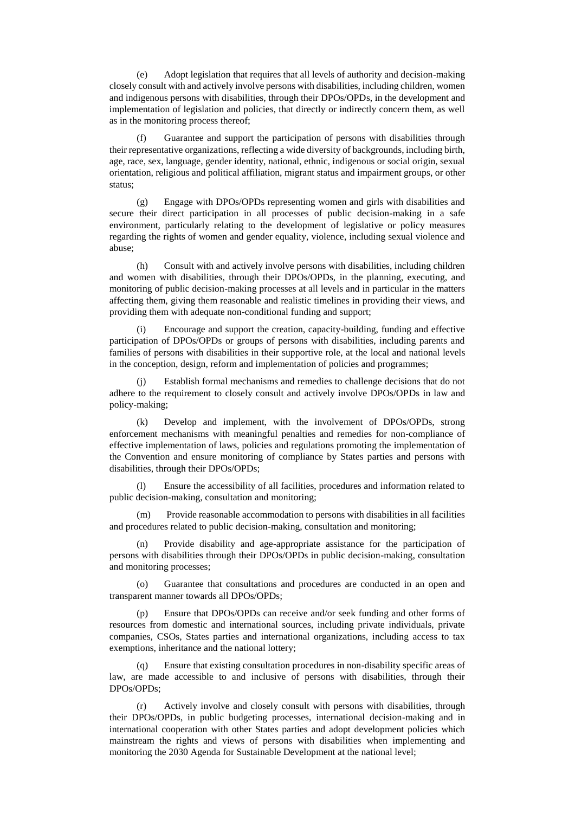(e) Adopt legislation that requires that all levels of authority and decision-making closely consult with and actively involve persons with disabilities, including children, women and indigenous persons with disabilities, through their DPOs/OPDs, in the development and implementation of legislation and policies, that directly or indirectly concern them, as well as in the monitoring process thereof;

(f) Guarantee and support the participation of persons with disabilities through their representative organizations, reflecting a wide diversity of backgrounds, including birth, age, race, sex, language, gender identity, national, ethnic, indigenous or social origin, sexual orientation, religious and political affiliation, migrant status and impairment groups, or other status;

(g) Engage with DPOs/OPDs representing women and girls with disabilities and secure their direct participation in all processes of public decision-making in a safe environment, particularly relating to the development of legislative or policy measures regarding the rights of women and gender equality, violence, including sexual violence and abuse;

(h) Consult with and actively involve persons with disabilities, including children and women with disabilities, through their DPOs/OPDs, in the planning, executing, and monitoring of public decision-making processes at all levels and in particular in the matters affecting them, giving them reasonable and realistic timelines in providing their views, and providing them with adequate non-conditional funding and support;

(i) Encourage and support the creation, capacity-building, funding and effective participation of DPOs/OPDs or groups of persons with disabilities, including parents and families of persons with disabilities in their supportive role, at the local and national levels in the conception, design, reform and implementation of policies and programmes;

(j) Establish formal mechanisms and remedies to challenge decisions that do not adhere to the requirement to closely consult and actively involve DPOs/OPDs in law and policy-making;

(k) Develop and implement, with the involvement of DPOs/OPDs, strong enforcement mechanisms with meaningful penalties and remedies for non-compliance of effective implementation of laws, policies and regulations promoting the implementation of the Convention and ensure monitoring of compliance by States parties and persons with disabilities, through their DPOs/OPDs;

(l) Ensure the accessibility of all facilities, procedures and information related to public decision-making, consultation and monitoring;

Provide reasonable accommodation to persons with disabilities in all facilities and procedures related to public decision-making, consultation and monitoring;

(n) Provide disability and age-appropriate assistance for the participation of persons with disabilities through their DPOs/OPDs in public decision-making, consultation and monitoring processes;

(o) Guarantee that consultations and procedures are conducted in an open and transparent manner towards all DPOs/OPDs;

(p) Ensure that DPOs/OPDs can receive and/or seek funding and other forms of resources from domestic and international sources, including private individuals, private companies, CSOs, States parties and international organizations, including access to tax exemptions, inheritance and the national lottery;

Ensure that existing consultation procedures in non-disability specific areas of law, are made accessible to and inclusive of persons with disabilities, through their DPOs/OPDs;

(r) Actively involve and closely consult with persons with disabilities, through their DPOs/OPDs, in public budgeting processes, international decision-making and in international cooperation with other States parties and adopt development policies which mainstream the rights and views of persons with disabilities when implementing and monitoring the 2030 Agenda for Sustainable Development at the national level;